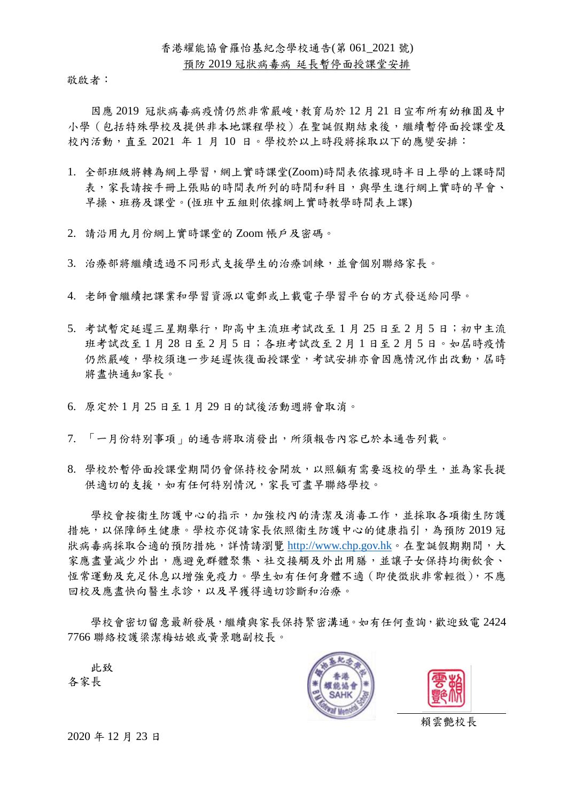## 預防 2019 冠狀病毒病 延長暫停面授課堂安排

敬啟者:

因應 2019 冠狀病毒病疫情仍然非常嚴峻,教育局於 12 月 21 日宣布所有幼稚園及中 小學(包括特殊學校及提供非本地課程學校)在聖誕假期結束後,繼續暫停面授課堂及 校內活動,直至 2021 年 1 月 10 日。學校於以上時段將採取以下的應變安排:

- 1. 全部班級將轉為網上學習,網上實時課堂(Zoom)時間表依據現時半日上學的上課時間 表,家長請按手冊上張貼的時間表所列的時間和科目,與學生進行網上實時的早會、 早操、班務及課堂。(恆班中五組則依據網上實時教學時間表上課)
- 2. 請沿用九月份網上實時課堂的 Zoom 帳戶及密碼。
- 3. 治療部將繼續透過不同形式支援學生的治療訓練,並會個別聯絡家長。
- 4. 老師會繼續把課業和學習資源以電郵或上載電子學習平台的方式發送給同學。
- 5. 考試暫定延遲三星期舉行,即高中主流班考試改至 1 月 25 日至 2 月 5 日;初中主流 班考試改至 1 月 28 日至 2 月 5 日;各班考試改至 2 月 1 日至 2 月 5 日。如屆時疫情 仍然嚴峻,學校須進一步延遲恢復面授課堂,考試安排亦會因應情況作出改動,屆時 將盡快通知家長。
- 6. 原定於 1 月 25 日至 1 月 29 日的試後活動週將會取消。
- 7. 「一月份特別事項」的通告將取消發出,所須報告內容已於本通告列載。
- 8. 學校於暫停面授課堂期間仍會保持校舍開放,以照顧有需要返校的學生,並為家長提 供適切的支援,如有任何特別情況,家長可盡早聯絡學校。

學校會按衞生防護中心的指示,加強校內的清潔及消毒工作,並採取各項衞生防護 措施,以保障師生健康。學校亦促請家長依照衞生防護中心的健康指引,為預防 2019 冠 狀病毒病採取合適的預防措施,詳情請瀏覽 [http://www.chp.gov.hk](http://www.chp.gov.hk/)。在聖誕假期期間,大 家應盡量減少外出,應避免群體聚集、社交接觸及外出用膳,並讓子女保持均衡飲食、 恆常運動及充足休息以增強免疫力。學生如有任何身體不適(即使徵狀非常輕微),不應 回校及應盡快向醫生求診,以及早獲得適切診斷和治療。

學校會密切留意最新發展,繼續與家長保持緊密溝通。如有任何查詢,歡迎致電 2424 7766 聯絡校護梁潔梅姑娘或黃景聰副校長。

 此致 各家長





賴雲艷校長

2020 年 12 月 23 日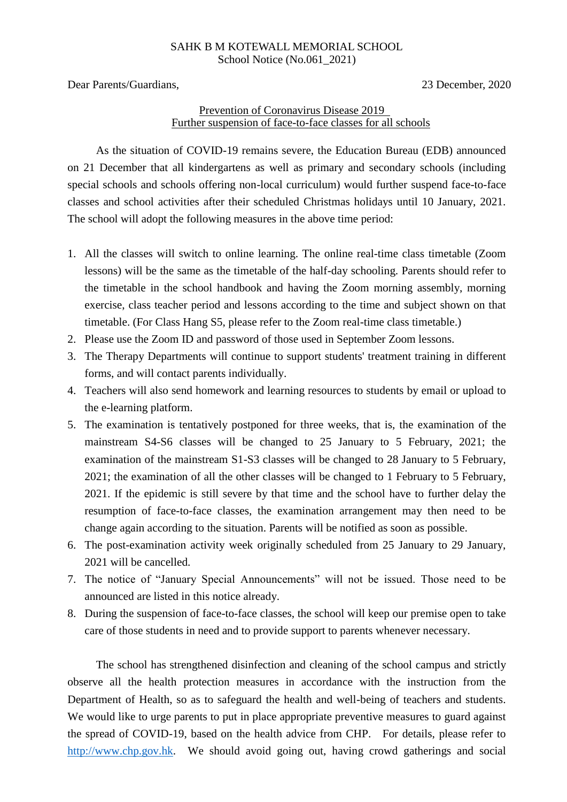## SAHK B M KOTEWALL MEMORIAL SCHOOL School Notice (No.061 2021)

Dear Parents/Guardians, 23 December, 2020

## Prevention of Coronavirus Disease 2019 Further suspension of face-to-face classes for all schools

As the situation of COVID-19 remains severe, the Education Bureau (EDB) announced on 21 December that all kindergartens as well as primary and secondary schools (including special schools and schools offering non-local curriculum) would further suspend face-to-face classes and school activities after their scheduled Christmas holidays until 10 January, 2021. The school will adopt the following measures in the above time period:

- 1. All the classes will switch to online learning. The online real-time class timetable (Zoom lessons) will be the same as the timetable of the half-day schooling. Parents should refer to the timetable in the school handbook and having the Zoom morning assembly, morning exercise, class teacher period and lessons according to the time and subject shown on that timetable. (For Class Hang S5, please refer to the Zoom real-time class timetable.)
- 2. Please use the Zoom ID and password of those used in September Zoom lessons.
- 3. The Therapy Departments will continue to support students' treatment training in different forms, and will contact parents individually.
- 4. Teachers will also send homework and learning resources to students by email or upload to the e-learning platform.
- 5. The examination is tentatively postponed for three weeks, that is, the examination of the mainstream S4-S6 classes will be changed to 25 January to 5 February, 2021; the examination of the mainstream S1-S3 classes will be changed to 28 January to 5 February, 2021; the examination of all the other classes will be changed to 1 February to 5 February, 2021. If the epidemic is still severe by that time and the school have to further delay the resumption of face-to-face classes, the examination arrangement may then need to be change again according to the situation. Parents will be notified as soon as possible.
- 6. The post-examination activity week originally scheduled from 25 January to 29 January, 2021 will be cancelled.
- 7. The notice of "January Special Announcements" will not be issued. Those need to be announced are listed in this notice already.
- 8. During the suspension of face-to-face classes, the school will keep our premise open to take care of those students in need and to provide support to parents whenever necessary.

The school has strengthened disinfection and cleaning of the school campus and strictly observe all the health protection measures in accordance with the instruction from the Department of Health, so as to safeguard the health and well-being of teachers and students. We would like to urge parents to put in place appropriate preventive measures to guard against the spread of COVID-19, based on the health advice from CHP. For details, please refer to [http://www.chp.gov.hk.](http://www.chp.gov.hk/) We should avoid going out, having crowd gatherings and social